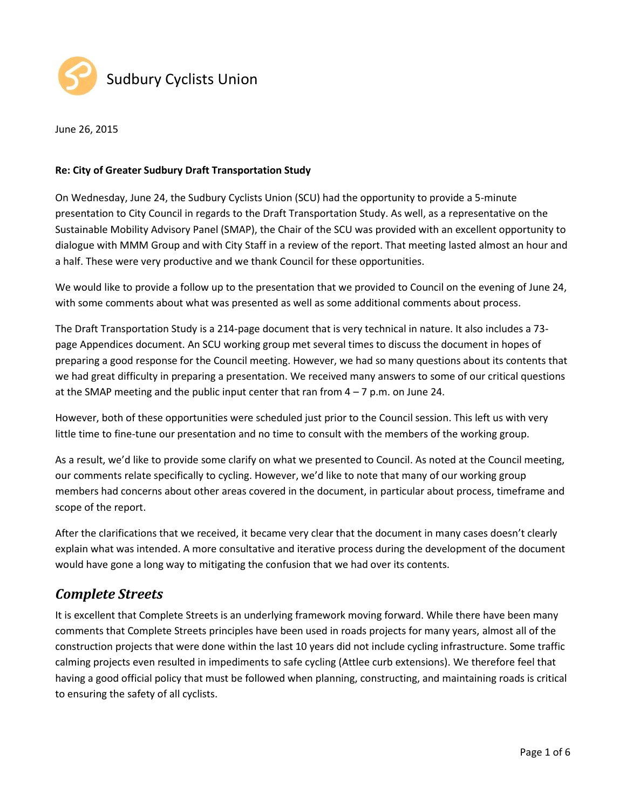



#### **Re: City of Greater Sudbury Draft Transportation Study**

On Wednesday, June 24, the Sudbury Cyclists Union (SCU) had the opportunity to provide a 5-minute presentation to City Council in regards to the Draft Transportation Study. As well, as a representative on the Sustainable Mobility Advisory Panel (SMAP), the Chair of the SCU was provided with an excellent opportunity to dialogue with MMM Group and with City Staff in a review of the report. That meeting lasted almost an hour and a half. These were very productive and we thank Council for these opportunities.

We would like to provide a follow up to the presentation that we provided to Council on the evening of June 24, with some comments about what was presented as well as some additional comments about process.

The Draft Transportation Study is a 214-page document that is very technical in nature. It also includes a 73 page Appendices document. An SCU working group met several times to discuss the document in hopes of preparing a good response for the Council meeting. However, we had so many questions about its contents that we had great difficulty in preparing a presentation. We received many answers to some of our critical questions at the SMAP meeting and the public input center that ran from  $4 - 7$  p.m. on June 24.

However, both of these opportunities were scheduled just prior to the Council session. This left us with very little time to fine-tune our presentation and no time to consult with the members of the working group.

As a result, we'd like to provide some clarify on what we presented to Council. As noted at the Council meeting, our comments relate specifically to cycling. However, we'd like to note that many of our working group members had concerns about other areas covered in the document, in particular about process, timeframe and scope of the report.

After the clarifications that we received, it became very clear that the document in many cases doesn't clearly explain what was intended. A more consultative and iterative process during the development of the document would have gone a long way to mitigating the confusion that we had over its contents.

# *Complete Streets*

It is excellent that Complete Streets is an underlying framework moving forward. While there have been many comments that Complete Streets principles have been used in roads projects for many years, almost all of the construction projects that were done within the last 10 years did not include cycling infrastructure. Some traffic calming projects even resulted in impediments to safe cycling (Attlee curb extensions). We therefore feel that having a good official policy that must be followed when planning, constructing, and maintaining roads is critical to ensuring the safety of all cyclists.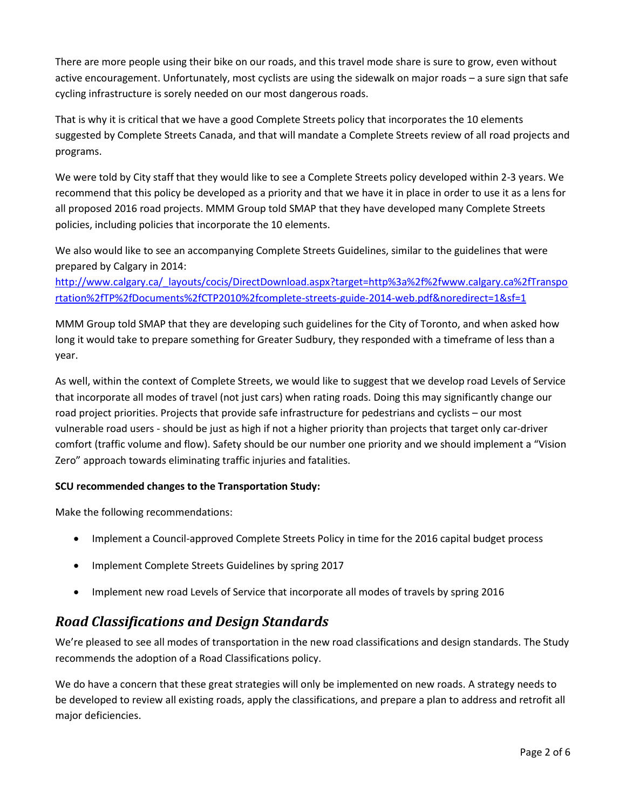There are more people using their bike on our roads, and this travel mode share is sure to grow, even without active encouragement. Unfortunately, most cyclists are using the sidewalk on major roads – a sure sign that safe cycling infrastructure is sorely needed on our most dangerous roads.

That is why it is critical that we have a good Complete Streets policy that incorporates the 10 elements suggested by Complete Streets Canada, and that will mandate a Complete Streets review of all road projects and programs.

We were told by City staff that they would like to see a Complete Streets policy developed within 2-3 years. We recommend that this policy be developed as a priority and that we have it in place in order to use it as a lens for all proposed 2016 road projects. MMM Group told SMAP that they have developed many Complete Streets policies, including policies that incorporate the 10 elements.

We also would like to see an accompanying Complete Streets Guidelines, similar to the guidelines that were prepared by Calgary in 2014:

[http://www.calgary.ca/\\_layouts/cocis/DirectDownload.aspx?target=http%3a%2f%2fwww.calgary.ca%2fTranspo](http://www.calgary.ca/_layouts/cocis/DirectDownload.aspx?target=http%3a%2f%2fwww.calgary.ca%2fTransportation%2fTP%2fDocuments%2fCTP2010%2fcomplete-streets-guide-2014-web.pdf&noredirect=1&sf=1) [rtation%2fTP%2fDocuments%2fCTP2010%2fcomplete-streets-guide-2014-web.pdf&noredirect=1&sf=1](http://www.calgary.ca/_layouts/cocis/DirectDownload.aspx?target=http%3a%2f%2fwww.calgary.ca%2fTransportation%2fTP%2fDocuments%2fCTP2010%2fcomplete-streets-guide-2014-web.pdf&noredirect=1&sf=1)

MMM Group told SMAP that they are developing such guidelines for the City of Toronto, and when asked how long it would take to prepare something for Greater Sudbury, they responded with a timeframe of less than a year.

As well, within the context of Complete Streets, we would like to suggest that we develop road Levels of Service that incorporate all modes of travel (not just cars) when rating roads. Doing this may significantly change our road project priorities. Projects that provide safe infrastructure for pedestrians and cyclists – our most vulnerable road users - should be just as high if not a higher priority than projects that target only car-driver comfort (traffic volume and flow). Safety should be our number one priority and we should implement a "Vision Zero" approach towards eliminating traffic injuries and fatalities.

### **SCU recommended changes to the Transportation Study:**

Make the following recommendations:

- Implement a Council-approved Complete Streets Policy in time for the 2016 capital budget process
- Implement Complete Streets Guidelines by spring 2017
- Implement new road Levels of Service that incorporate all modes of travels by spring 2016

# *Road Classifications and Design Standards*

We're pleased to see all modes of transportation in the new road classifications and design standards. The Study recommends the adoption of a Road Classifications policy.

We do have a concern that these great strategies will only be implemented on new roads. A strategy needs to be developed to review all existing roads, apply the classifications, and prepare a plan to address and retrofit all major deficiencies.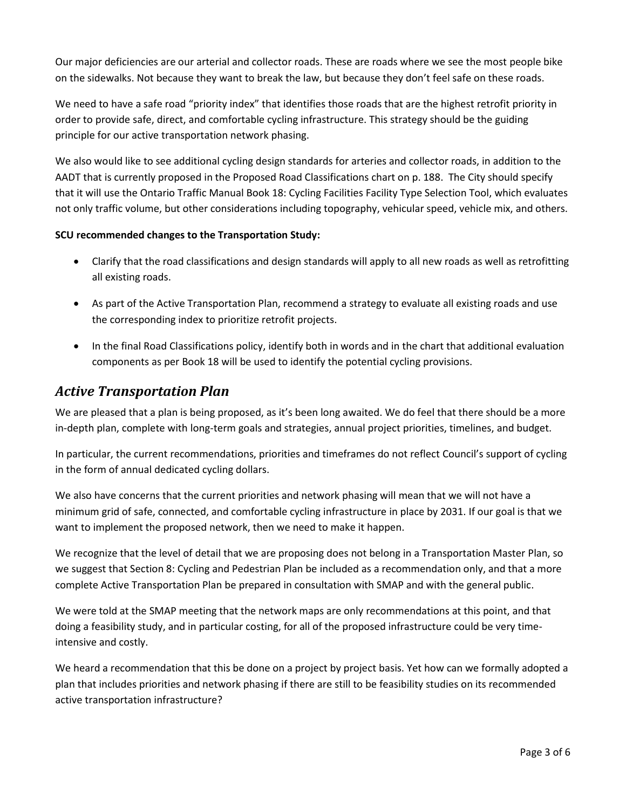Our major deficiencies are our arterial and collector roads. These are roads where we see the most people bike on the sidewalks. Not because they want to break the law, but because they don't feel safe on these roads.

We need to have a safe road "priority index" that identifies those roads that are the highest retrofit priority in order to provide safe, direct, and comfortable cycling infrastructure. This strategy should be the guiding principle for our active transportation network phasing.

We also would like to see additional cycling design standards for arteries and collector roads, in addition to the AADT that is currently proposed in the Proposed Road Classifications chart on p. 188. The City should specify that it will use the Ontario Traffic Manual Book 18: Cycling Facilities Facility Type Selection Tool, which evaluates not only traffic volume, but other considerations including topography, vehicular speed, vehicle mix, and others.

#### **SCU recommended changes to the Transportation Study:**

- Clarify that the road classifications and design standards will apply to all new roads as well as retrofitting all existing roads.
- As part of the Active Transportation Plan, recommend a strategy to evaluate all existing roads and use the corresponding index to prioritize retrofit projects.
- In the final Road Classifications policy, identify both in words and in the chart that additional evaluation components as per Book 18 will be used to identify the potential cycling provisions.

# *Active Transportation Plan*

We are pleased that a plan is being proposed, as it's been long awaited. We do feel that there should be a more in-depth plan, complete with long-term goals and strategies, annual project priorities, timelines, and budget.

In particular, the current recommendations, priorities and timeframes do not reflect Council's support of cycling in the form of annual dedicated cycling dollars.

We also have concerns that the current priorities and network phasing will mean that we will not have a minimum grid of safe, connected, and comfortable cycling infrastructure in place by 2031. If our goal is that we want to implement the proposed network, then we need to make it happen.

We recognize that the level of detail that we are proposing does not belong in a Transportation Master Plan, so we suggest that Section 8: Cycling and Pedestrian Plan be included as a recommendation only, and that a more complete Active Transportation Plan be prepared in consultation with SMAP and with the general public.

We were told at the SMAP meeting that the network maps are only recommendations at this point, and that doing a feasibility study, and in particular costing, for all of the proposed infrastructure could be very timeintensive and costly.

We heard a recommendation that this be done on a project by project basis. Yet how can we formally adopted a plan that includes priorities and network phasing if there are still to be feasibility studies on its recommended active transportation infrastructure?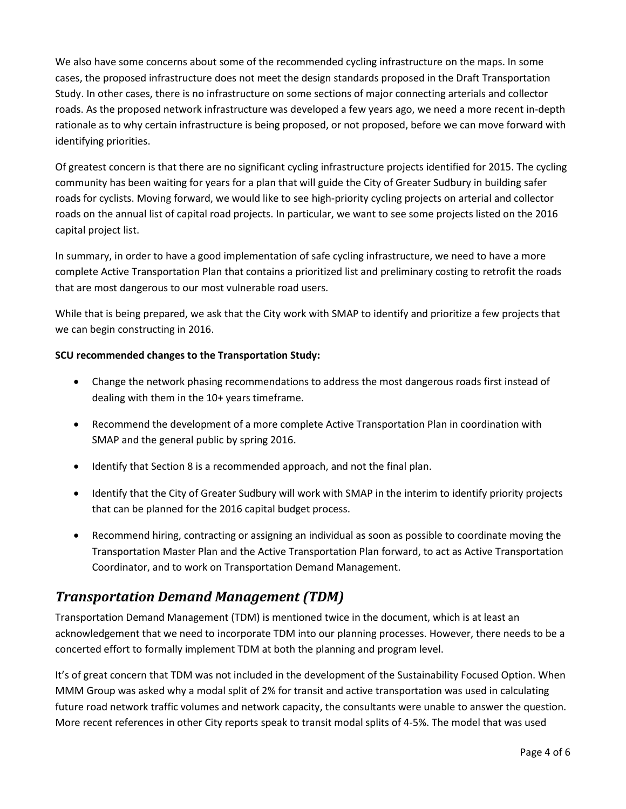We also have some concerns about some of the recommended cycling infrastructure on the maps. In some cases, the proposed infrastructure does not meet the design standards proposed in the Draft Transportation Study. In other cases, there is no infrastructure on some sections of major connecting arterials and collector roads. As the proposed network infrastructure was developed a few years ago, we need a more recent in-depth rationale as to why certain infrastructure is being proposed, or not proposed, before we can move forward with identifying priorities.

Of greatest concern is that there are no significant cycling infrastructure projects identified for 2015. The cycling community has been waiting for years for a plan that will guide the City of Greater Sudbury in building safer roads for cyclists. Moving forward, we would like to see high-priority cycling projects on arterial and collector roads on the annual list of capital road projects. In particular, we want to see some projects listed on the 2016 capital project list.

In summary, in order to have a good implementation of safe cycling infrastructure, we need to have a more complete Active Transportation Plan that contains a prioritized list and preliminary costing to retrofit the roads that are most dangerous to our most vulnerable road users.

While that is being prepared, we ask that the City work with SMAP to identify and prioritize a few projects that we can begin constructing in 2016.

#### **SCU recommended changes to the Transportation Study:**

- Change the network phasing recommendations to address the most dangerous roads first instead of dealing with them in the 10+ years timeframe.
- Recommend the development of a more complete Active Transportation Plan in coordination with SMAP and the general public by spring 2016.
- Identify that Section 8 is a recommended approach, and not the final plan.
- Identify that the City of Greater Sudbury will work with SMAP in the interim to identify priority projects that can be planned for the 2016 capital budget process.
- Recommend hiring, contracting or assigning an individual as soon as possible to coordinate moving the Transportation Master Plan and the Active Transportation Plan forward, to act as Active Transportation Coordinator, and to work on Transportation Demand Management.

# *Transportation Demand Management (TDM)*

Transportation Demand Management (TDM) is mentioned twice in the document, which is at least an acknowledgement that we need to incorporate TDM into our planning processes. However, there needs to be a concerted effort to formally implement TDM at both the planning and program level.

It's of great concern that TDM was not included in the development of the Sustainability Focused Option. When MMM Group was asked why a modal split of 2% for transit and active transportation was used in calculating future road network traffic volumes and network capacity, the consultants were unable to answer the question. More recent references in other City reports speak to transit modal splits of 4-5%. The model that was used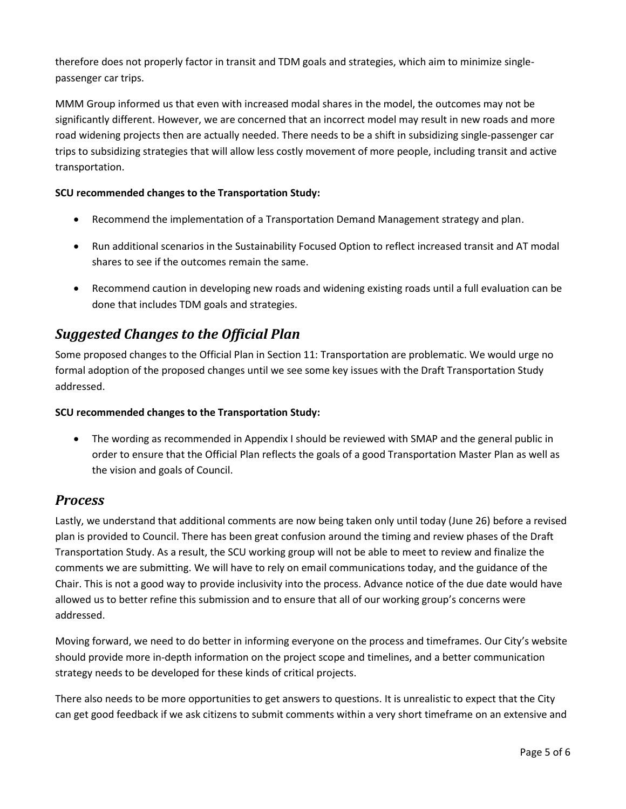therefore does not properly factor in transit and TDM goals and strategies, which aim to minimize singlepassenger car trips.

MMM Group informed us that even with increased modal shares in the model, the outcomes may not be significantly different. However, we are concerned that an incorrect model may result in new roads and more road widening projects then are actually needed. There needs to be a shift in subsidizing single-passenger car trips to subsidizing strategies that will allow less costly movement of more people, including transit and active transportation.

### **SCU recommended changes to the Transportation Study:**

- Recommend the implementation of a Transportation Demand Management strategy and plan.
- Run additional scenarios in the Sustainability Focused Option to reflect increased transit and AT modal shares to see if the outcomes remain the same.
- Recommend caution in developing new roads and widening existing roads until a full evaluation can be done that includes TDM goals and strategies.

# *Suggested Changes to the Official Plan*

Some proposed changes to the Official Plan in Section 11: Transportation are problematic. We would urge no formal adoption of the proposed changes until we see some key issues with the Draft Transportation Study addressed.

### **SCU recommended changes to the Transportation Study:**

 The wording as recommended in Appendix I should be reviewed with SMAP and the general public in order to ensure that the Official Plan reflects the goals of a good Transportation Master Plan as well as the vision and goals of Council.

# *Process*

Lastly, we understand that additional comments are now being taken only until today (June 26) before a revised plan is provided to Council. There has been great confusion around the timing and review phases of the Draft Transportation Study. As a result, the SCU working group will not be able to meet to review and finalize the comments we are submitting. We will have to rely on email communications today, and the guidance of the Chair. This is not a good way to provide inclusivity into the process. Advance notice of the due date would have allowed us to better refine this submission and to ensure that all of our working group's concerns were addressed.

Moving forward, we need to do better in informing everyone on the process and timeframes. Our City's website should provide more in-depth information on the project scope and timelines, and a better communication strategy needs to be developed for these kinds of critical projects.

There also needs to be more opportunities to get answers to questions. It is unrealistic to expect that the City can get good feedback if we ask citizens to submit comments within a very short timeframe on an extensive and